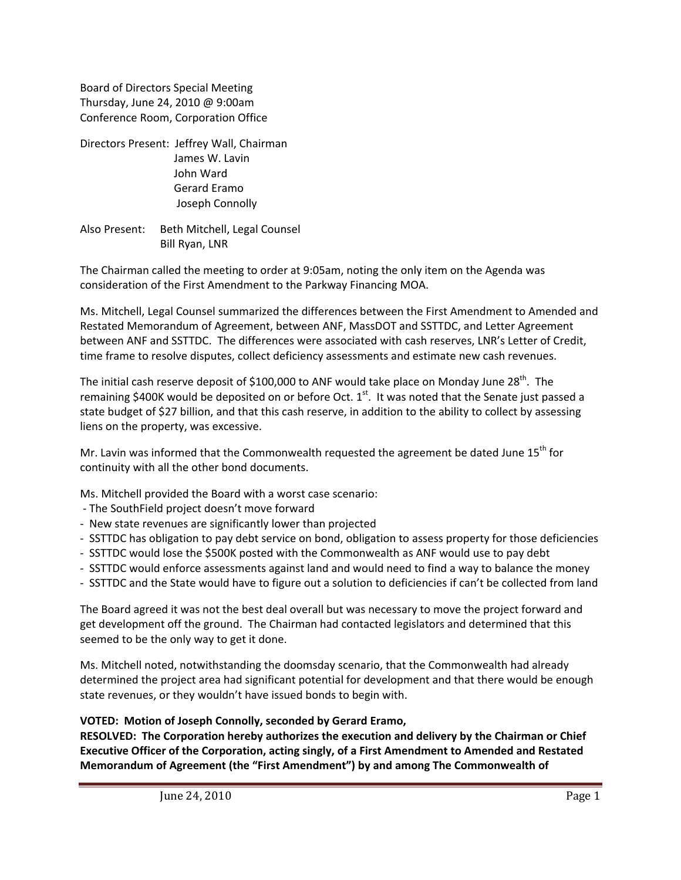Board of Directors Special Meeting Thursday, June 24, 2010 @ 9:00am Conference Room, Corporation Office

Directors Present: Jeffrey Wall, Chairman James W. Lavin John Ward Gerard Eramo Joseph Connolly

Also Present: Beth Mitchell, Legal Counsel Bill Ryan, LNR

The Chairman called the meeting to order at 9:05am, noting the only item on the Agenda was consideration of the First Amendment to the Parkway Financing MOA.

Ms. Mitchell, Legal Counsel summarized the differences between the First Amendment to Amended and Restated Memorandum of Agreement, between ANF, MassDOT and SSTTDC, and Letter Agreement between ANF and SSTTDC. The differences were associated with cash reserves, LNR's Letter of Credit, time frame to resolve disputes, collect deficiency assessments and estimate new cash revenues.

The initial cash reserve deposit of \$100,000 to ANF would take place on Monday June 28<sup>th</sup>. The remaining \$400K would be deposited on or before Oct.  $1^{st}$ . It was noted that the Senate just passed a state budget of \$27 billion, and that this cash reserve, in addition to the ability to collect by assessing liens on the property, was excessive.

Mr. Lavin was informed that the Commonwealth requested the agreement be dated June  $15<sup>th</sup>$  for continuity with all the other bond documents.

Ms. Mitchell provided the Board with a worst case scenario:

- ‐ The SouthField project doesn't move forward
- ‐ New state revenues are significantly lower than projected
- ‐ SSTTDC has obligation to pay debt service on bond, obligation to assess property for those deficiencies
- ‐ SSTTDC would lose the \$500K posted with the Commonwealth as ANF would use to pay debt
- ‐ SSTTDC would enforce assessments against land and would need to find a way to balance the money
- ‐ SSTTDC and the State would have to figure out a solution to deficiencies if can't be collected from land

The Board agreed it was not the best deal overall but was necessary to move the project forward and get development off the ground. The Chairman had contacted legislators and determined that this seemed to be the only way to get it done.

Ms. Mitchell noted, notwithstanding the doomsday scenario, that the Commonwealth had already determined the project area had significant potential for development and that there would be enough state revenues, or they wouldn't have issued bonds to begin with.

## **VOTED: Motion of Joseph Connolly, seconded by Gerard Eramo,**

**RESOLVED: The Corporation hereby authorizes the execution and delivery by the Chairman or Chief Executive Officer of the Corporation, acting singly, of a First Amendment to Amended and Restated Memorandum of Agreement (the "First Amendment") by and among The Commonwealth of**